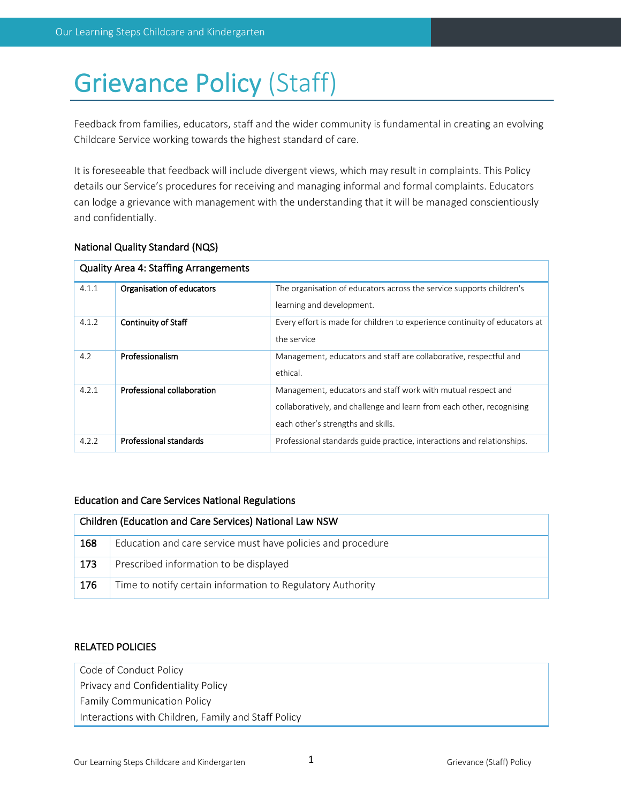# Grievance Policy (Staff)

Feedback from families, educators, staff and the wider community is fundamental in creating an evolving Childcare Service working towards the highest standard of care.

It is foreseeable that feedback will include divergent views, which may result in complaints. This Policy details our Service's procedures for receiving and managing informal and formal complaints. Educators can lodge a grievance with management with the understanding that it will be managed conscientiously and confidentially.

## National Quality Standard (NQS)

| <b>Quality Area 4: Staffing Arrangements</b> |                            |                                                                            |  |
|----------------------------------------------|----------------------------|----------------------------------------------------------------------------|--|
| 4.1.1                                        | Organisation of educators  | The organisation of educators across the service supports children's       |  |
|                                              |                            | learning and development.                                                  |  |
| 4.1.2                                        | <b>Continuity of Staff</b> | Every effort is made for children to experience continuity of educators at |  |
|                                              |                            | the service                                                                |  |
| 4.2                                          | Professionalism            | Management, educators and staff are collaborative, respectful and          |  |
|                                              |                            | ethical.                                                                   |  |
| 4.2.1                                        | Professional collaboration | Management, educators and staff work with mutual respect and               |  |
|                                              |                            | collaboratively, and challenge and learn from each other, recognising      |  |
|                                              |                            | each other's strengths and skills.                                         |  |
| 4.2.2                                        | Professional standards     | Professional standards guide practice, interactions and relationships.     |  |

## Education and Care Services National Regulations

| Children (Education and Care Services) National Law NSW |                                                             |  |
|---------------------------------------------------------|-------------------------------------------------------------|--|
| 168                                                     | Education and care service must have policies and procedure |  |
| 173                                                     | Prescribed information to be displayed                      |  |
| 176                                                     | Time to notify certain information to Regulatory Authority  |  |

## RELATED POLICIES

| Code of Conduct Policy                              |
|-----------------------------------------------------|
| Privacy and Confidentiality Policy                  |
| <b>Family Communication Policy</b>                  |
| Interactions with Children, Family and Staff Policy |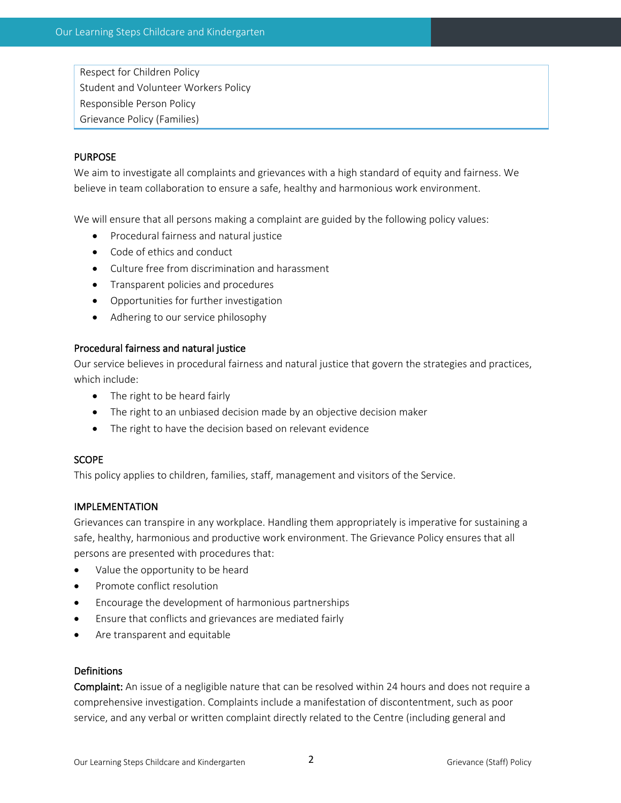Respect for Children Policy Student and Volunteer Workers Policy Responsible Person Policy Grievance Policy (Families)

## PURPOSE

We aim to investigate all complaints and grievances with a high standard of equity and fairness. We believe in team collaboration to ensure a safe, healthy and harmonious work environment.

We will ensure that all persons making a complaint are guided by the following policy values:

- Procedural fairness and natural justice
- Code of ethics and conduct
- Culture free from discrimination and harassment
- Transparent policies and procedures
- Opportunities for further investigation
- Adhering to our service philosophy

## Procedural fairness and natural justice

Our service believes in procedural fairness and natural justice that govern the strategies and practices, which include:

- The right to be heard fairly
- The right to an unbiased decision made by an objective decision maker
- The right to have the decision based on relevant evidence

## **SCOPE**

This policy applies to children, families, staff, management and visitors of the Service.

## IMPLEMENTATION

Grievances can transpire in any workplace. Handling them appropriately is imperative for sustaining a safe, healthy, harmonious and productive work environment. The Grievance Policy ensures that all persons are presented with procedures that:

- Value the opportunity to be heard
- Promote conflict resolution
- Encourage the development of harmonious partnerships
- Ensure that conflicts and grievances are mediated fairly
- Are transparent and equitable

#### Definitions

Complaint: An issue of a negligible nature that can be resolved within 24 hours and does not require a comprehensive investigation. Complaints include a manifestation of discontentment, such as poor service, and any verbal or written complaint directly related to the Centre (including general and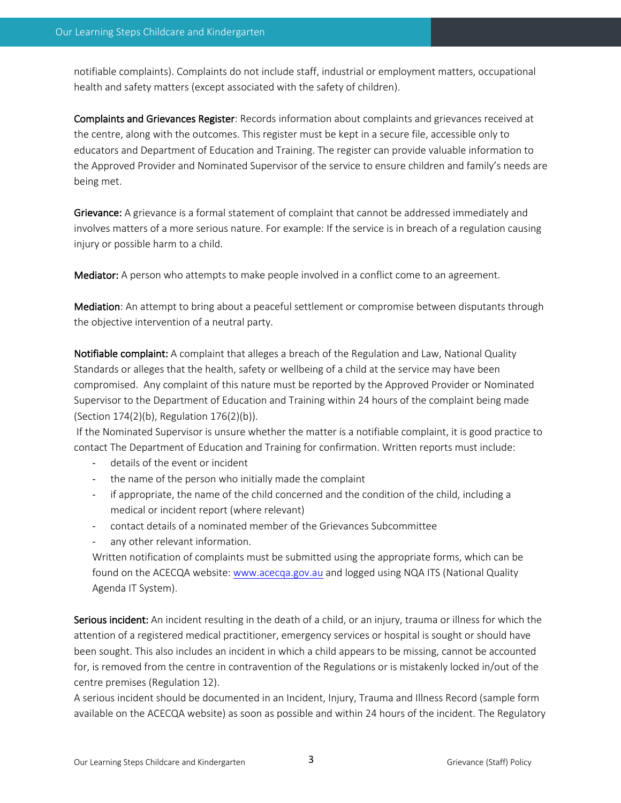notifiable complaints). Complaints do not include staff, industrial or employment matters, occupational health and safety matters (except associated with the safety of children).

Complaints and Grievances Register: Records information about complaints and grievances received at the centre, along with the outcomes. This register must be kept in a secure file, accessible only to educators and Department of Education and Training. The register can provide valuable information to the Approved Provider and Nominated Supervisor of the service to ensure children and family's needs are being met.

Grievance: A grievance is a formal statement of complaint that cannot be addressed immediately and involves matters of a more serious nature. For example: If the service is in breach of a regulation causing injury or possible harm to a child.

Mediator: A person who attempts to make people involved in a conflict come to an agreement.

Mediation: An attempt to bring about a peaceful settlement or compromise between disputants through the objective intervention of a neutral party.

Notifiable complaint: A complaint that alleges a breach of the Regulation and Law, National Quality Standards or alleges that the health, safety or wellbeing of a child at the service may have been compromised. Any complaint of this nature must be reported by the Approved Provider or Nominated Supervisor to the Department of Education and Training within 24 hours of the complaint being made (Section 174(2)(b), Regulation 176(2)(b)).

If the Nominated Supervisor is unsure whether the matter is a notifiable complaint, it is good practice to contact The Department of Education and Training for confirmation. Written reports must include:

- details of the event or incident
- the name of the person who initially made the complaint
- if appropriate, the name of the child concerned and the condition of the child, including a medical or incident report (where relevant)
- contact details of a nominated member of the Grievances Subcommittee
- any other relevant information.

Written notification of complaints must be submitted using the appropriate forms, which can be found on the ACECQA website: www.acecqa.gov.au and logged using NQA ITS (National Quality Agenda IT System).

Serious incident: An incident resulting in the death of a child, or an injury, trauma or illness for which the attention of a registered medical practitioner, emergency services or hospital is sought or should have been sought. This also includes an incident in which a child appears to be missing, cannot be accounted for, is removed from the centre in contravention of the Regulations or is mistakenly locked in/out of the centre premises (Regulation 12).

A serious incident should be documented in an Incident, Injury, Trauma and Illness Record (sample form available on the ACECQA website) as soon as possible and within 24 hours of the incident. The Regulatory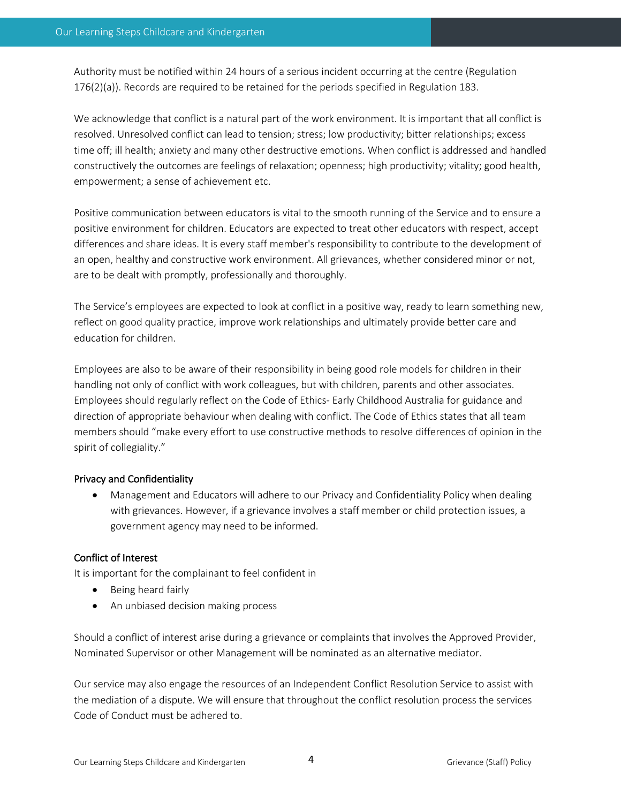Authority must be notified within 24 hours of a serious incident occurring at the centre (Regulation 176(2)(a)). Records are required to be retained for the periods specified in Regulation 183.

We acknowledge that conflict is a natural part of the work environment. It is important that all conflict is resolved. Unresolved conflict can lead to tension; stress; low productivity; bitter relationships; excess time off; ill health; anxiety and many other destructive emotions. When conflict is addressed and handled constructively the outcomes are feelings of relaxation; openness; high productivity; vitality; good health, empowerment; a sense of achievement etc.

Positive communication between educators is vital to the smooth running of the Service and to ensure a positive environment for children. Educators are expected to treat other educators with respect, accept differences and share ideas. It is every staff member's responsibility to contribute to the development of an open, healthy and constructive work environment. All grievances, whether considered minor or not, are to be dealt with promptly, professionally and thoroughly.

The Service's employees are expected to look at conflict in a positive way, ready to learn something new, reflect on good quality practice, improve work relationships and ultimately provide better care and education for children.

Employees are also to be aware of their responsibility in being good role models for children in their handling not only of conflict with work colleagues, but with children, parents and other associates. Employees should regularly reflect on the Code of Ethics- Early Childhood Australia for guidance and direction of appropriate behaviour when dealing with conflict. The Code of Ethics states that all team members should "make every effort to use constructive methods to resolve differences of opinion in the spirit of collegiality."

## Privacy and Confidentiality

• Management and Educators will adhere to our Privacy and Confidentiality Policy when dealing with grievances. However, if a grievance involves a staff member or child protection issues, a government agency may need to be informed.

## Conflict of Interest

It is important for the complainant to feel confident in

- Being heard fairly
- An unbiased decision making process

Should a conflict of interest arise during a grievance or complaints that involves the Approved Provider, Nominated Supervisor or other Management will be nominated as an alternative mediator.

Our service may also engage the resources of an Independent Conflict Resolution Service to assist with the mediation of a dispute. We will ensure that throughout the conflict resolution process the services Code of Conduct must be adhered to.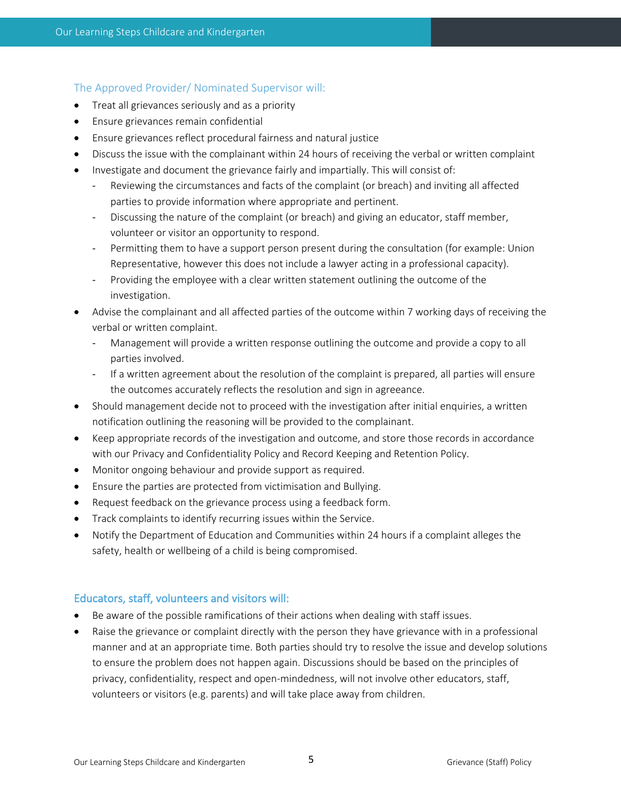#### The Approved Provider/ Nominated Supervisor will:

- Treat all grievances seriously and as a priority
- Ensure grievances remain confidential
- Ensure grievances reflect procedural fairness and natural justice
- Discuss the issue with the complainant within 24 hours of receiving the verbal or written complaint
- Investigate and document the grievance fairly and impartially. This will consist of:
	- Reviewing the circumstances and facts of the complaint (or breach) and inviting all affected parties to provide information where appropriate and pertinent.
	- Discussing the nature of the complaint (or breach) and giving an educator, staff member, volunteer or visitor an opportunity to respond.
	- Permitting them to have a support person present during the consultation (for example: Union Representative, however this does not include a lawyer acting in a professional capacity).
	- Providing the employee with a clear written statement outlining the outcome of the investigation.
- Advise the complainant and all affected parties of the outcome within 7 working days of receiving the verbal or written complaint.
	- Management will provide a written response outlining the outcome and provide a copy to all parties involved.
	- If a written agreement about the resolution of the complaint is prepared, all parties will ensure the outcomes accurately reflects the resolution and sign in agreeance.
- Should management decide not to proceed with the investigation after initial enquiries, a written notification outlining the reasoning will be provided to the complainant.
- Keep appropriate records of the investigation and outcome, and store those records in accordance with our Privacy and Confidentiality Policy and Record Keeping and Retention Policy.
- Monitor ongoing behaviour and provide support as required.
- Ensure the parties are protected from victimisation and Bullying.
- Request feedback on the grievance process using a feedback form.
- Track complaints to identify recurring issues within the Service.
- Notify the Department of Education and Communities within 24 hours if a complaint alleges the safety, health or wellbeing of a child is being compromised.

## Educators, staff, volunteers and visitors will:

- Be aware of the possible ramifications of their actions when dealing with staff issues.
- Raise the grievance or complaint directly with the person they have grievance with in a professional manner and at an appropriate time. Both parties should try to resolve the issue and develop solutions to ensure the problem does not happen again. Discussions should be based on the principles of privacy, confidentiality, respect and open-mindedness, will not involve other educators, staff, volunteers or visitors (e.g. parents) and will take place away from children.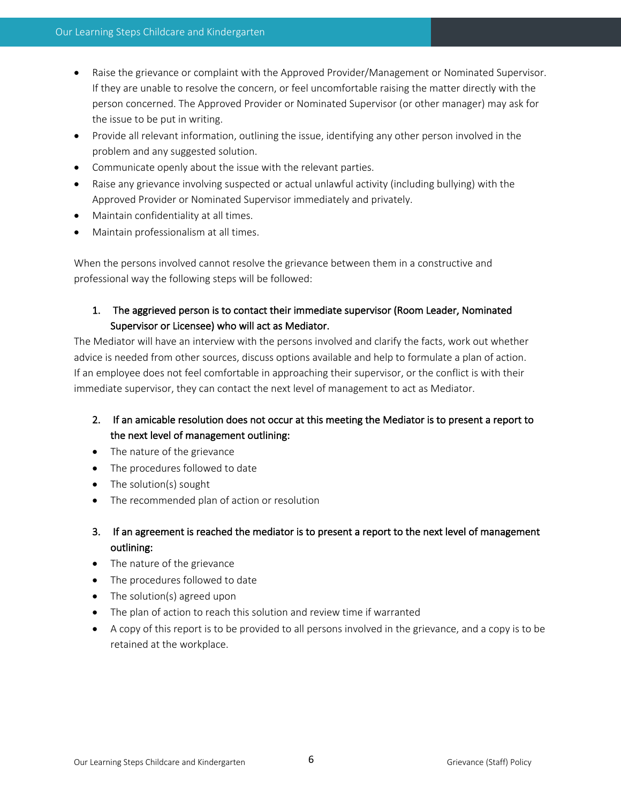- Raise the grievance or complaint with the Approved Provider/Management or Nominated Supervisor. If they are unable to resolve the concern, or feel uncomfortable raising the matter directly with the person concerned. The Approved Provider or Nominated Supervisor (or other manager) may ask for the issue to be put in writing.
- Provide all relevant information, outlining the issue, identifying any other person involved in the problem and any suggested solution.
- Communicate openly about the issue with the relevant parties.
- Raise any grievance involving suspected or actual unlawful activity (including bullying) with the Approved Provider or Nominated Supervisor immediately and privately.
- Maintain confidentiality at all times.
- Maintain professionalism at all times.

When the persons involved cannot resolve the grievance between them in a constructive and professional way the following steps will be followed:

# 1. The aggrieved person is to contact their immediate supervisor (Room Leader, Nominated Supervisor or Licensee) who will act as Mediator.

The Mediator will have an interview with the persons involved and clarify the facts, work out whether advice is needed from other sources, discuss options available and help to formulate a plan of action. If an employee does not feel comfortable in approaching their supervisor, or the conflict is with their immediate supervisor, they can contact the next level of management to act as Mediator.

# 2. If an amicable resolution does not occur at this meeting the Mediator is to present a report to the next level of management outlining:

- The nature of the grievance
- The procedures followed to date
- The solution(s) sought
- The recommended plan of action or resolution
- 3. If an agreement is reached the mediator is to present a report to the next level of management outlining:
- The nature of the grievance
- The procedures followed to date
- The solution(s) agreed upon
- The plan of action to reach this solution and review time if warranted
- A copy of this report is to be provided to all persons involved in the grievance, and a copy is to be retained at the workplace.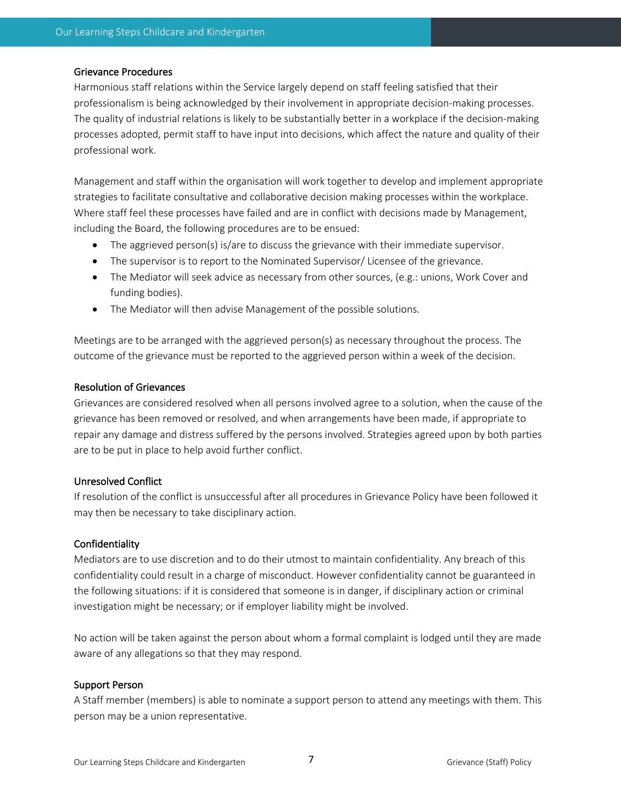#### Grievance Procedures

Harmonious staff relations within the Service largely depend on staff feeling satisfied that their professionalism is being acknowledged by their involvement in appropriate decision-making processes. The quality of industrial relations is likely to be substantially better in a workplace if the decision-making processes adopted, permit staff to have input into decisions, which affect the nature and quality of their professional work.

Management and staff within the organisation will work together to develop and implement appropriate strategies to facilitate consultative and collaborative decision making processes within the workplace. Where staff feel these processes have failed and are in conflict with decisions made by Management, including the Board, the following procedures are to be ensued:

- The aggrieved person(s) is/are to discuss the grievance with their immediate supervisor.
- The supervisor is to report to the Nominated Supervisor/ Licensee of the grievance.
- The Mediator will seek advice as necessary from other sources, (e.g.: unions, Work Cover and funding bodies).
- The Mediator will then advise Management of the possible solutions.

Meetings are to be arranged with the aggrieved person(s) as necessary throughout the process. The outcome of the grievance must be reported to the aggrieved person within a week of the decision.

#### Resolution of Grievances

Grievances are considered resolved when all persons involved agree to a solution, when the cause of the grievance has been removed or resolved, and when arrangements have been made, if appropriate to repair any damage and distress suffered by the persons involved. Strategies agreed upon by both parties are to be put in place to help avoid further conflict.

#### Unresolved Conflict

If resolution of the conflict is unsuccessful after all procedures in Grievance Policy have been followed it may then be necessary to take disciplinary action.

#### Confidentiality

Mediators are to use discretion and to do their utmost to maintain confidentiality. Any breach of this confidentiality could result in a charge of misconduct. However confidentiality cannot be guaranteed in the following situations: if it is considered that someone is in danger, if disciplinary action or criminal investigation might be necessary; or if employer liability might be involved.

No action will be taken against the person about whom a formal complaint is lodged until they are made aware of any allegations so that they may respond.

#### Support Person

A Staff member (members) is able to nominate a support person to attend any meetings with them. This person may be a union representative.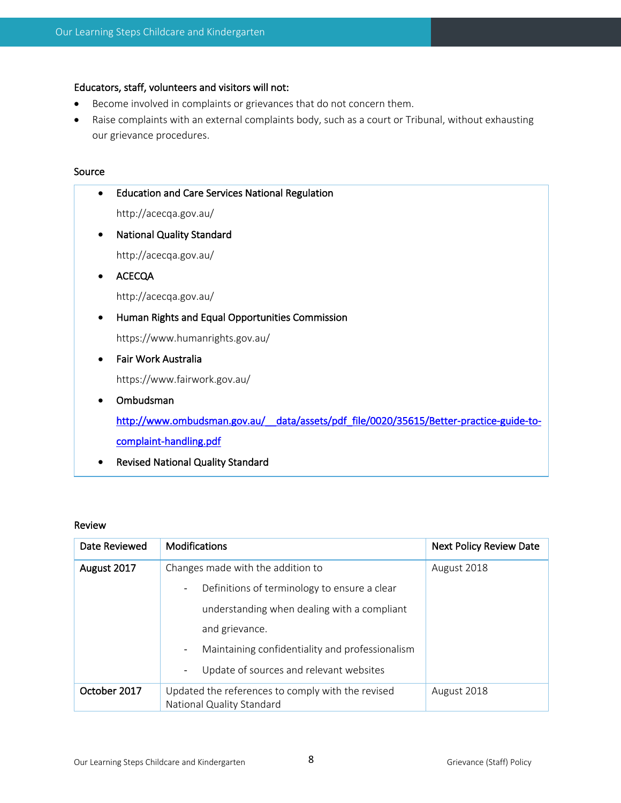# Educators, staff, volunteers and visitors will not:

- Become involved in complaints or grievances that do not concern them.
- Raise complaints with an external complaints body, such as a court or Tribunal, without exhausting our grievance procedures.

#### Source

|   | <b>Education and Care Services National Regulation</b>                                 |
|---|----------------------------------------------------------------------------------------|
|   | http://acecqa.gov.au/                                                                  |
| ٠ | <b>National Quality Standard</b>                                                       |
|   | http://acecqa.gov.au/                                                                  |
|   | <b>ACECQA</b>                                                                          |
|   | http://acecqa.gov.au/                                                                  |
|   | Human Rights and Equal Opportunities Commission                                        |
|   | https://www.humanrights.gov.au/                                                        |
|   | Fair Work Australia                                                                    |
|   | https://www.fairwork.gov.au/                                                           |
|   | Ombudsman                                                                              |
|   | http://www.ombudsman.gov.au/_data/assets/pdf_file/0020/35615/Better-practice-guide-to- |
|   | complaint-handling.pdf                                                                 |
|   | <b>Revised National Quality Standard</b>                                               |

#### Review

| Date Reviewed | <b>Modifications</b>                                                           | <b>Next Policy Review Date</b> |
|---------------|--------------------------------------------------------------------------------|--------------------------------|
| August 2017   | Changes made with the addition to                                              | August 2018                    |
|               | Definitions of terminology to ensure a clear<br>$\overline{\phantom{a}}$       |                                |
|               | understanding when dealing with a compliant                                    |                                |
|               | and grievance.                                                                 |                                |
|               | Maintaining confidentiality and professionalism<br>$\overline{\phantom{a}}$    |                                |
|               | Update of sources and relevant websites<br>$\overline{\phantom{a}}$            |                                |
| October 2017  | Updated the references to comply with the revised<br>National Quality Standard | August 2018                    |